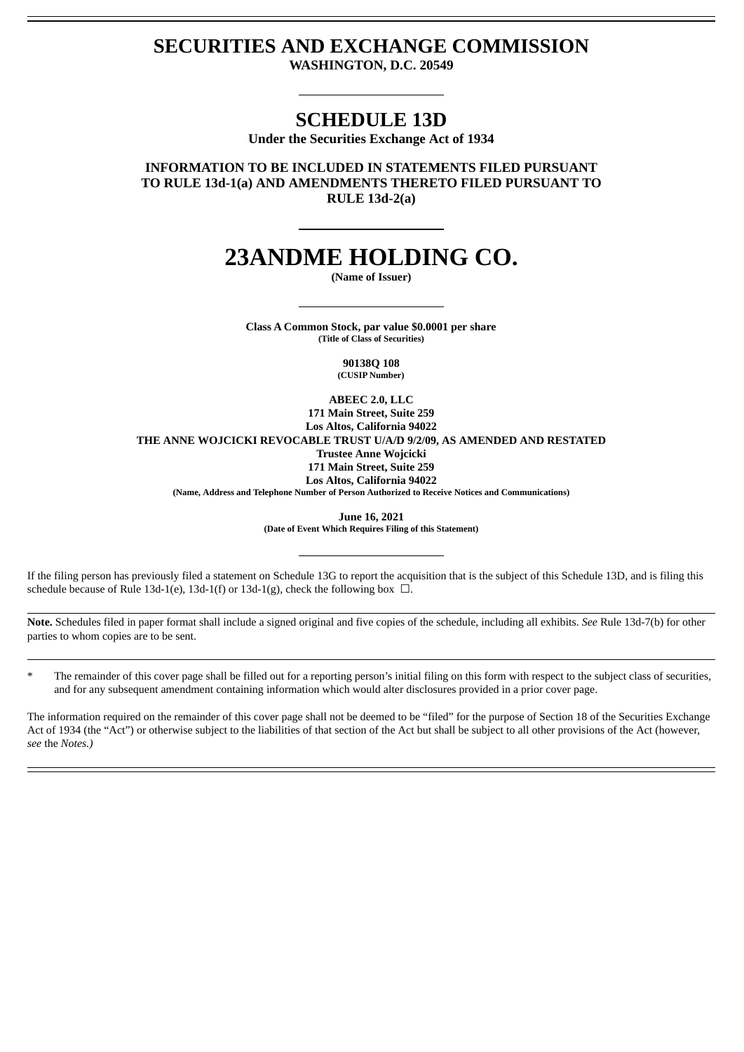## **SECURITIES AND EXCHANGE COMMISSION**

**WASHINGTON, D.C. 20549**

### **SCHEDULE 13D**

**Under the Securities Exchange Act of 1934**

**INFORMATION TO BE INCLUDED IN STATEMENTS FILED PURSUANT TO RULE 13d-1(a) AND AMENDMENTS THERETO FILED PURSUANT TO RULE 13d-2(a)**

# **23ANDME HOLDING CO.**

**(Name of Issuer)**

**Class A Common Stock, par value \$0.0001 per share (Title of Class of Securities)**

> **90138Q 108 (CUSIP Number)**

**ABEEC 2.0, LLC**

**171 Main Street, Suite 259 Los Altos, California 94022 THE ANNE WOJCICKI REVOCABLE TRUST U/A/D 9/2/09, AS AMENDED AND RESTATED Trustee Anne Wojcicki 171 Main Street, Suite 259 Los Altos, California 94022**

**(Name, Address and Telephone Number of Person Authorized to Receive Notices and Communications)**

**June 16, 2021**

**(Date of Event Which Requires Filing of this Statement)**

If the filing person has previously filed a statement on Schedule 13G to report the acquisition that is the subject of this Schedule 13D, and is filing this schedule because of Rule 13d-1(e), 13d-1(f) or 13d-1(g), check the following box  $\Box$ .

**Note.** Schedules filed in paper format shall include a signed original and five copies of the schedule, including all exhibits. *See* Rule 13d-7(b) for other parties to whom copies are to be sent.

The remainder of this cover page shall be filled out for a reporting person's initial filing on this form with respect to the subject class of securities, and for any subsequent amendment containing information which would alter disclosures provided in a prior cover page.

The information required on the remainder of this cover page shall not be deemed to be "filed" for the purpose of Section 18 of the Securities Exchange Act of 1934 (the "Act") or otherwise subject to the liabilities of that section of the Act but shall be subject to all other provisions of the Act (however, *see* the *Notes.)*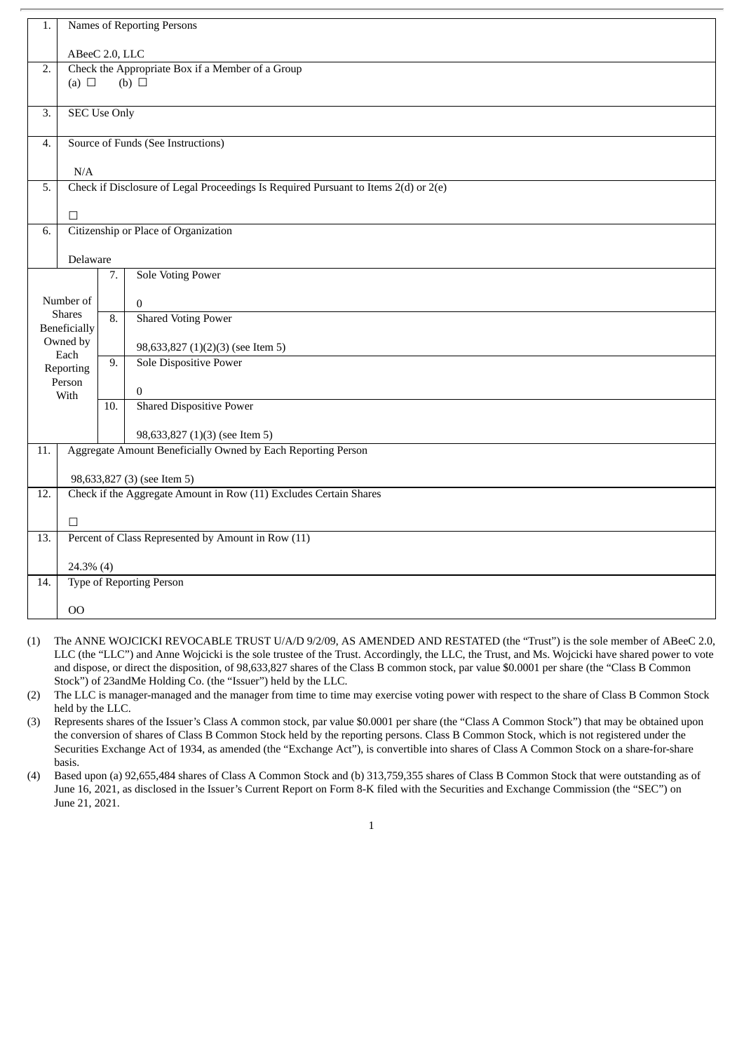| 1.                | Names of Reporting Persons                                                                       |                                                                                     |                                                                    |  |  |  |  |
|-------------------|--------------------------------------------------------------------------------------------------|-------------------------------------------------------------------------------------|--------------------------------------------------------------------|--|--|--|--|
|                   | ABeeC 2.0, LLC                                                                                   |                                                                                     |                                                                    |  |  |  |  |
| 2.                | Check the Appropriate Box if a Member of a Group                                                 |                                                                                     |                                                                    |  |  |  |  |
|                   | (b) $\Box$<br>(a) $\Box$                                                                         |                                                                                     |                                                                    |  |  |  |  |
| 3.                | <b>SEC Use Only</b>                                                                              |                                                                                     |                                                                    |  |  |  |  |
|                   |                                                                                                  |                                                                                     |                                                                    |  |  |  |  |
| 4.                | Source of Funds (See Instructions)                                                               |                                                                                     |                                                                    |  |  |  |  |
|                   | N/A                                                                                              |                                                                                     |                                                                    |  |  |  |  |
| 5.                |                                                                                                  | Check if Disclosure of Legal Proceedings Is Required Pursuant to Items 2(d) or 2(e) |                                                                    |  |  |  |  |
|                   | $\Box$                                                                                           |                                                                                     |                                                                    |  |  |  |  |
| 6.                | Citizenship or Place of Organization                                                             |                                                                                     |                                                                    |  |  |  |  |
|                   | Delaware                                                                                         |                                                                                     |                                                                    |  |  |  |  |
|                   |                                                                                                  | 7.                                                                                  | <b>Sole Voting Power</b>                                           |  |  |  |  |
|                   | Number of                                                                                        |                                                                                     | $\mathbf{0}$                                                       |  |  |  |  |
|                   | <b>Shares</b>                                                                                    | 8.                                                                                  | <b>Shared Voting Power</b>                                         |  |  |  |  |
|                   | Beneficially<br>Owned by                                                                         |                                                                                     |                                                                    |  |  |  |  |
|                   | Each                                                                                             | 9.                                                                                  | 98,633,827 (1)(2)(3) (see Item 5)<br><b>Sole Dispositive Power</b> |  |  |  |  |
|                   | Reporting<br>Person                                                                              |                                                                                     |                                                                    |  |  |  |  |
|                   | With                                                                                             |                                                                                     | $\mathbf{0}$                                                       |  |  |  |  |
|                   |                                                                                                  | 10.                                                                                 | <b>Shared Dispositive Power</b>                                    |  |  |  |  |
|                   |                                                                                                  |                                                                                     | 98,633,827 (1)(3) (see Item 5)                                     |  |  |  |  |
| 11.               | Aggregate Amount Beneficially Owned by Each Reporting Person                                     |                                                                                     |                                                                    |  |  |  |  |
|                   |                                                                                                  |                                                                                     |                                                                    |  |  |  |  |
| 12.               | 98,633,827 (3) (see Item 5)<br>Check if the Aggregate Amount in Row (11) Excludes Certain Shares |                                                                                     |                                                                    |  |  |  |  |
|                   | $\Box$                                                                                           |                                                                                     |                                                                    |  |  |  |  |
| 13.               |                                                                                                  |                                                                                     | Percent of Class Represented by Amount in Row (11)                 |  |  |  |  |
|                   |                                                                                                  |                                                                                     |                                                                    |  |  |  |  |
| $\overline{14}$ . |                                                                                                  | 24.3% (4)<br>Type of Reporting Person                                               |                                                                    |  |  |  |  |
|                   |                                                                                                  |                                                                                     |                                                                    |  |  |  |  |
|                   | 00                                                                                               |                                                                                     |                                                                    |  |  |  |  |

- (1) The ANNE WOJCICKI REVOCABLE TRUST U/A/D 9/2/09, AS AMENDED AND RESTATED (the "Trust") is the sole member of ABeeC 2.0, LLC (the "LLC") and Anne Wojcicki is the sole trustee of the Trust. Accordingly, the LLC, the Trust, and Ms. Wojcicki have shared power to vote and dispose, or direct the disposition, of 98,633,827 shares of the Class B common stock, par value \$0.0001 per share (the "Class B Common Stock") of 23andMe Holding Co. (the "Issuer") held by the LLC.
- (2) The LLC is manager-managed and the manager from time to time may exercise voting power with respect to the share of Class B Common Stock held by the LLC.
- (3) Represents shares of the Issuer's Class A common stock, par value \$0.0001 per share (the "Class A Common Stock") that may be obtained upon the conversion of shares of Class B Common Stock held by the reporting persons. Class B Common Stock, which is not registered under the Securities Exchange Act of 1934, as amended (the "Exchange Act"), is convertible into shares of Class A Common Stock on a share-for-share basis.
- (4) Based upon (a) 92,655,484 shares of Class A Common Stock and (b) 313,759,355 shares of Class B Common Stock that were outstanding as of June 16, 2021, as disclosed in the Issuer's Current Report on Form 8-K filed with the Securities and Exchange Commission (the "SEC") on June 21, 2021.
	- 1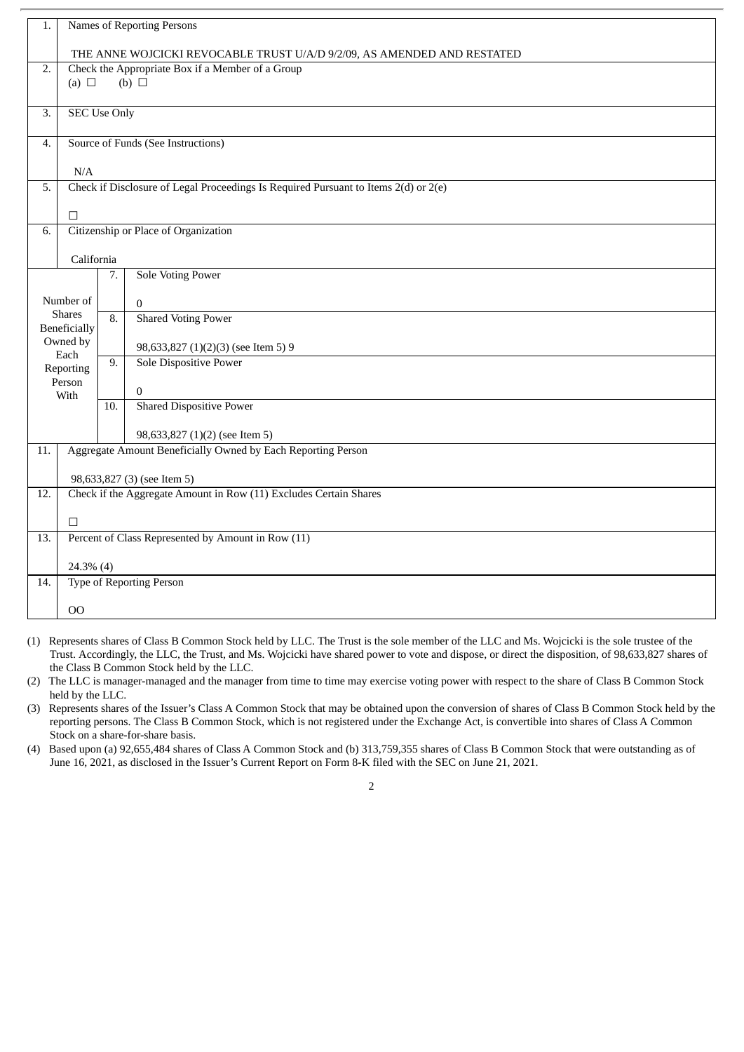| 1.         | Names of Reporting Persons                                                   |                                                                                     |                                     |  |  |  |  |
|------------|------------------------------------------------------------------------------|-------------------------------------------------------------------------------------|-------------------------------------|--|--|--|--|
|            | THE ANNE WOJCICKI REVOCABLE TRUST U/A/D 9/2/09, AS AMENDED AND RESTATED      |                                                                                     |                                     |  |  |  |  |
| 2.         | Check the Appropriate Box if a Member of a Group<br>(a) $\Box$<br>(b) $\Box$ |                                                                                     |                                     |  |  |  |  |
| 3.         | <b>SEC Use Only</b>                                                          |                                                                                     |                                     |  |  |  |  |
| 4.         | Source of Funds (See Instructions)                                           |                                                                                     |                                     |  |  |  |  |
|            | N/A                                                                          |                                                                                     |                                     |  |  |  |  |
| 5.         |                                                                              | Check if Disclosure of Legal Proceedings Is Required Pursuant to Items 2(d) or 2(e) |                                     |  |  |  |  |
|            | $\Box$                                                                       |                                                                                     |                                     |  |  |  |  |
| 6.         |                                                                              | Citizenship or Place of Organization                                                |                                     |  |  |  |  |
| California |                                                                              |                                                                                     |                                     |  |  |  |  |
|            |                                                                              | 7.                                                                                  | <b>Sole Voting Power</b>            |  |  |  |  |
|            | Number of                                                                    |                                                                                     | $\Omega$                            |  |  |  |  |
|            | <b>Shares</b><br><b>Beneficially</b>                                         | 8.                                                                                  | <b>Shared Voting Power</b>          |  |  |  |  |
|            | Owned by<br>Each                                                             |                                                                                     | 98,633,827 (1)(2)(3) (see Item 5) 9 |  |  |  |  |
|            | Reporting                                                                    | 9.                                                                                  | <b>Sole Dispositive Power</b>       |  |  |  |  |
|            | Person<br>With                                                               |                                                                                     | $\boldsymbol{0}$                    |  |  |  |  |
|            |                                                                              | 10.                                                                                 | <b>Shared Dispositive Power</b>     |  |  |  |  |
|            |                                                                              |                                                                                     | 98,633,827 (1)(2) (see Item 5)      |  |  |  |  |
| 11.        | Aggregate Amount Beneficially Owned by Each Reporting Person                 |                                                                                     |                                     |  |  |  |  |
|            |                                                                              |                                                                                     | 98,633,827 (3) (see Item 5)         |  |  |  |  |
| 12.        | Check if the Aggregate Amount in Row (11) Excludes Certain Shares            |                                                                                     |                                     |  |  |  |  |
|            | П                                                                            |                                                                                     |                                     |  |  |  |  |
| 13.        | Percent of Class Represented by Amount in Row (11)                           |                                                                                     |                                     |  |  |  |  |
|            | 24.3% (4)                                                                    |                                                                                     |                                     |  |  |  |  |
| 14.        | <b>Type of Reporting Person</b>                                              |                                                                                     |                                     |  |  |  |  |
|            | OO                                                                           |                                                                                     |                                     |  |  |  |  |

- (1) Represents shares of Class B Common Stock held by LLC. The Trust is the sole member of the LLC and Ms. Wojcicki is the sole trustee of the Trust. Accordingly, the LLC, the Trust, and Ms. Wojcicki have shared power to vote and dispose, or direct the disposition, of 98,633,827 shares of the Class B Common Stock held by the LLC.
- (2) The LLC is manager-managed and the manager from time to time may exercise voting power with respect to the share of Class B Common Stock held by the LLC.
- (3) Represents shares of the Issuer's Class A Common Stock that may be obtained upon the conversion of shares of Class B Common Stock held by the reporting persons. The Class B Common Stock, which is not registered under the Exchange Act, is convertible into shares of Class A Common Stock on a share-for-share basis.
- (4) Based upon (a) 92,655,484 shares of Class A Common Stock and (b) 313,759,355 shares of Class B Common Stock that were outstanding as of June 16, 2021, as disclosed in the Issuer's Current Report on Form 8-K filed with the SEC on June 21, 2021.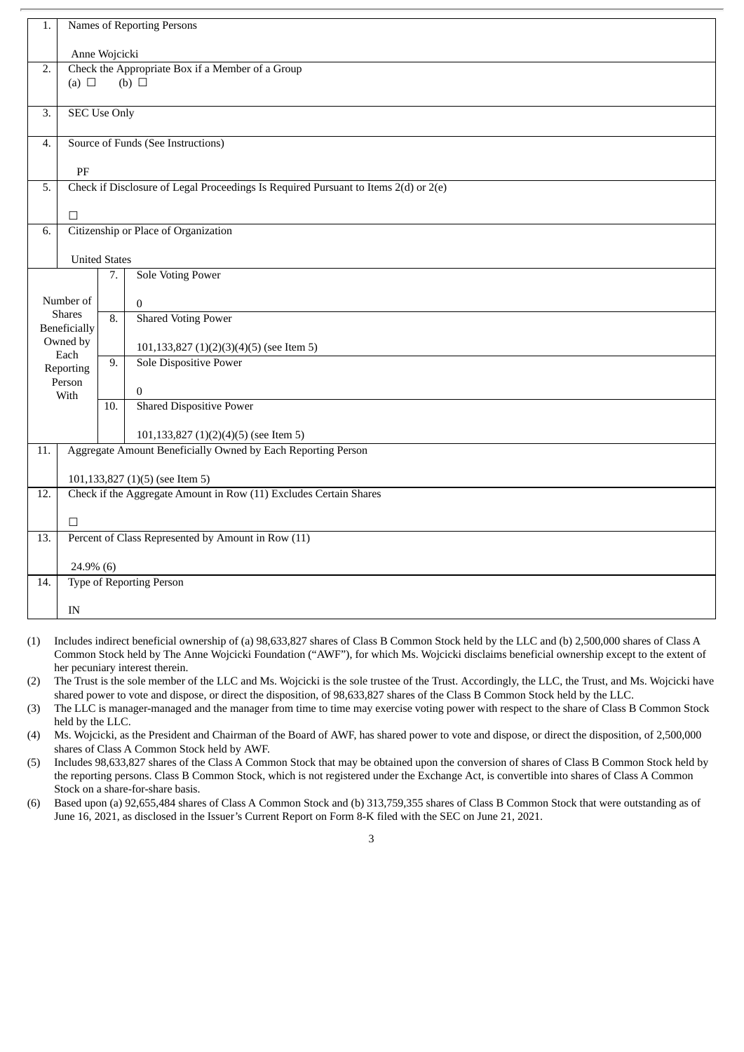| 1.               | Names of Reporting Persons                                                          |               |                                              |  |  |  |  |  |
|------------------|-------------------------------------------------------------------------------------|---------------|----------------------------------------------|--|--|--|--|--|
|                  |                                                                                     | Anne Wojcicki |                                              |  |  |  |  |  |
| 2.               | Check the Appropriate Box if a Member of a Group                                    |               |                                              |  |  |  |  |  |
|                  | (b) $\Box$<br>(a) $\Box$                                                            |               |                                              |  |  |  |  |  |
| $\overline{3}$ . | <b>SEC Use Only</b>                                                                 |               |                                              |  |  |  |  |  |
| 4.               | Source of Funds (See Instructions)                                                  |               |                                              |  |  |  |  |  |
|                  | PF                                                                                  |               |                                              |  |  |  |  |  |
| 5.               | Check if Disclosure of Legal Proceedings Is Required Pursuant to Items 2(d) or 2(e) |               |                                              |  |  |  |  |  |
|                  | $\Box$                                                                              |               |                                              |  |  |  |  |  |
| $\overline{6}$ . | Citizenship or Place of Organization                                                |               |                                              |  |  |  |  |  |
|                  | <b>United States</b>                                                                |               |                                              |  |  |  |  |  |
|                  |                                                                                     | 7.            | <b>Sole Voting Power</b>                     |  |  |  |  |  |
|                  | Number of                                                                           |               | $\overline{0}$                               |  |  |  |  |  |
|                  | <b>Shares</b><br><b>Beneficially</b>                                                | 8.            | <b>Shared Voting Power</b>                   |  |  |  |  |  |
|                  | Owned by                                                                            |               | $101,133,827$ $(1)(2)(3)(4)(5)$ (see Item 5) |  |  |  |  |  |
|                  | Each<br>Reporting                                                                   | 9.            | Sole Dispositive Power                       |  |  |  |  |  |
|                  | Person<br>With                                                                      |               | $\mathbf{0}$                                 |  |  |  |  |  |
|                  |                                                                                     | 10.           | <b>Shared Dispositive Power</b>              |  |  |  |  |  |
|                  |                                                                                     |               | 101,133,827 (1)(2)(4)(5) (see Item 5)        |  |  |  |  |  |
| 11.              | Aggregate Amount Beneficially Owned by Each Reporting Person                        |               |                                              |  |  |  |  |  |
|                  |                                                                                     |               | 101,133,827 (1)(5) (see Item 5)              |  |  |  |  |  |
| 12.              | Check if the Aggregate Amount in Row (11) Excludes Certain Shares                   |               |                                              |  |  |  |  |  |
|                  | $\Box$                                                                              |               |                                              |  |  |  |  |  |
| 13.              | Percent of Class Represented by Amount in Row (11)                                  |               |                                              |  |  |  |  |  |
|                  | 24.9% (6)                                                                           |               |                                              |  |  |  |  |  |
| 14.              | <b>Type of Reporting Person</b>                                                     |               |                                              |  |  |  |  |  |
|                  | IN                                                                                  |               |                                              |  |  |  |  |  |
|                  |                                                                                     |               |                                              |  |  |  |  |  |

(1) Includes indirect beneficial ownership of (a) 98,633,827 shares of Class B Common Stock held by the LLC and (b) 2,500,000 shares of Class A Common Stock held by The Anne Wojcicki Foundation ("AWF"), for which Ms. Wojcicki disclaims beneficial ownership except to the extent of her pecuniary interest therein.

(2) The Trust is the sole member of the LLC and Ms. Wojcicki is the sole trustee of the Trust. Accordingly, the LLC, the Trust, and Ms. Wojcicki have shared power to vote and dispose, or direct the disposition, of 98,633,827 shares of the Class B Common Stock held by the LLC.

(3) The LLC is manager-managed and the manager from time to time may exercise voting power with respect to the share of Class B Common Stock held by the LLC.

(4) Ms. Wojcicki, as the President and Chairman of the Board of AWF, has shared power to vote and dispose, or direct the disposition, of 2,500,000 shares of Class A Common Stock held by AWF.

(5) Includes 98,633,827 shares of the Class A Common Stock that may be obtained upon the conversion of shares of Class B Common Stock held by the reporting persons. Class B Common Stock, which is not registered under the Exchange Act, is convertible into shares of Class A Common Stock on a share-for-share basis.

(6) Based upon (a) 92,655,484 shares of Class A Common Stock and (b) 313,759,355 shares of Class B Common Stock that were outstanding as of June 16, 2021, as disclosed in the Issuer's Current Report on Form 8-K filed with the SEC on June 21, 2021.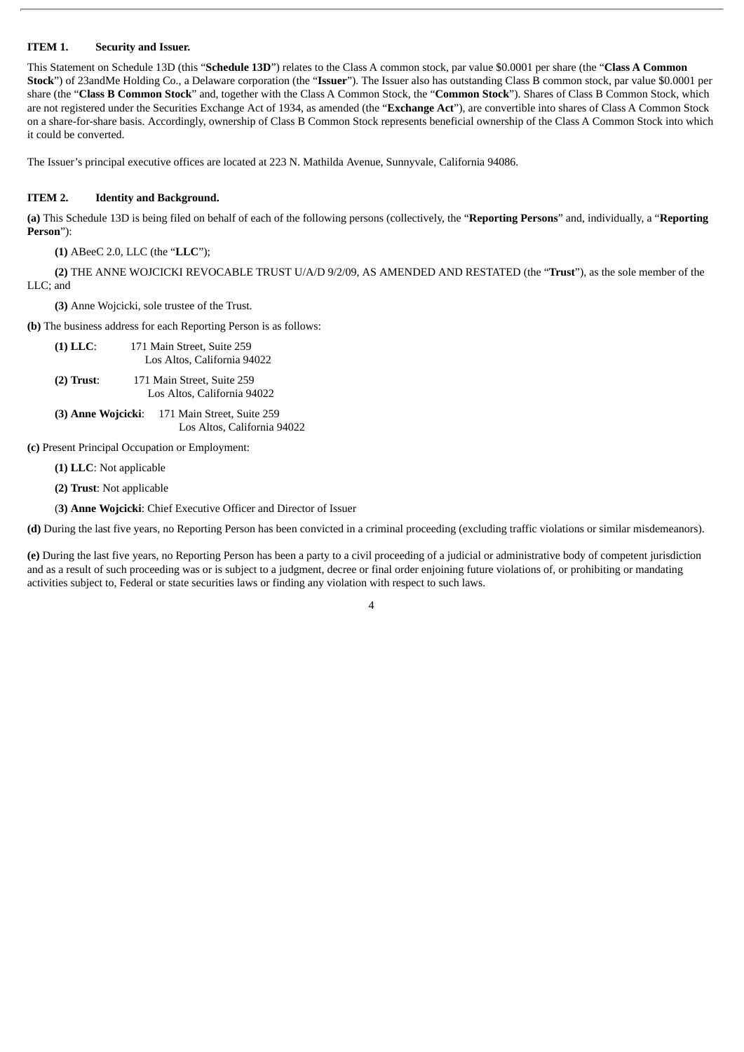#### **ITEM 1. Security and Issuer.**

This Statement on Schedule 13D (this "**Schedule 13D**") relates to the Class A common stock, par value \$0.0001 per share (the "**Class A Common Stock**") of 23andMe Holding Co., a Delaware corporation (the "**Issuer**"). The Issuer also has outstanding Class B common stock, par value \$0.0001 per share (the "**Class B Common Stock**" and, together with the Class A Common Stock, the "**Common Stock**"). Shares of Class B Common Stock, which are not registered under the Securities Exchange Act of 1934, as amended (the "**Exchange Act**"), are convertible into shares of Class A Common Stock on a share-for-share basis. Accordingly, ownership of Class B Common Stock represents beneficial ownership of the Class A Common Stock into which it could be converted.

The Issuer's principal executive offices are located at 223 N. Mathilda Avenue, Sunnyvale, California 94086.

#### **ITEM 2. Identity and Background.**

**(a)** This Schedule 13D is being filed on behalf of each of the following persons (collectively, the "**Reporting Persons**" and, individually, a "**Reporting Person**"):

**(1)** ABeeC 2.0, LLC (the "**LLC**");

**(2)** THE ANNE WOJCICKI REVOCABLE TRUST U/A/D 9/2/09, AS AMENDED AND RESTATED (the "**Trust**"), as the sole member of the LLC; and

**(3)** Anne Wojcicki, sole trustee of the Trust.

**(b)** The business address for each Reporting Person is as follows:

- **(1) LLC**: 171 Main Street, Suite 259 Los Altos, California 94022
- **(2) Trust**: 171 Main Street, Suite 259 Los Altos, California 94022
- **(3) Anne Wojcicki**: 171 Main Street, Suite 259 Los Altos, California 94022

**(c)** Present Principal Occupation or Employment:

**(1) LLC**: Not applicable

**(2) Trust**: Not applicable

(**3) Anne Wojcicki**: Chief Executive Officer and Director of Issuer

**(d)** During the last five years, no Reporting Person has been convicted in a criminal proceeding (excluding traffic violations or similar misdemeanors).

**(e)** During the last five years, no Reporting Person has been a party to a civil proceeding of a judicial or administrative body of competent jurisdiction and as a result of such proceeding was or is subject to a judgment, decree or final order enjoining future violations of, or prohibiting or mandating activities subject to, Federal or state securities laws or finding any violation with respect to such laws.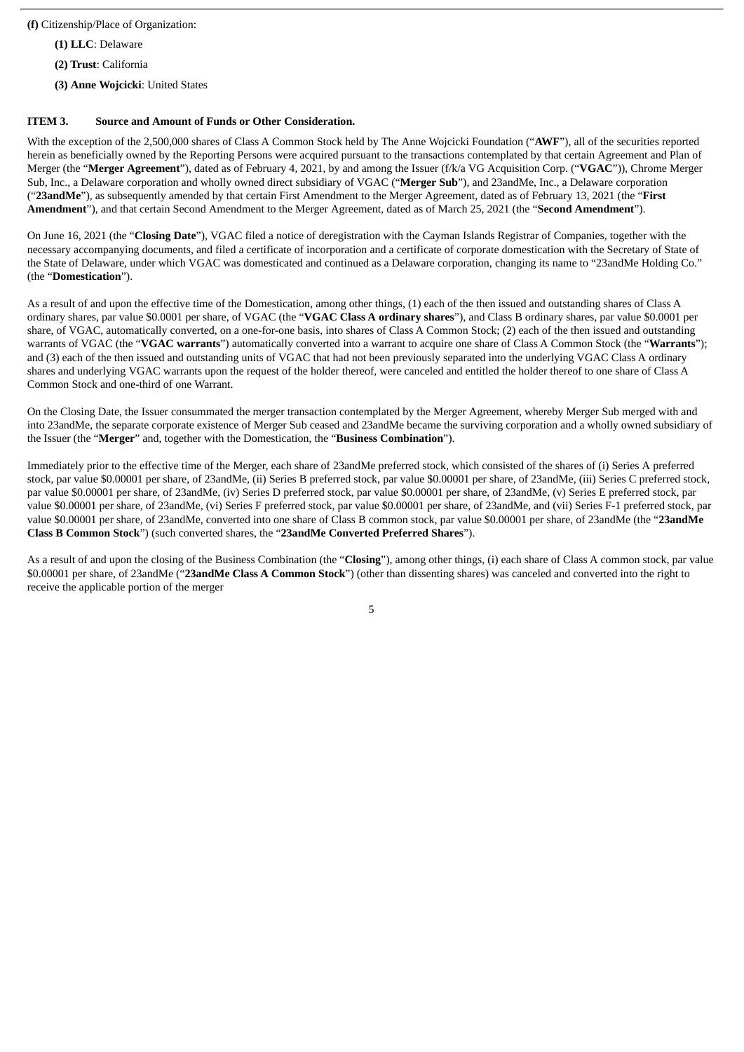**(f)** Citizenship/Place of Organization:

**(1) LLC**: Delaware

**(2) Trust**: California

**(3) Anne Wojcicki**: United States

#### **ITEM 3. Source and Amount of Funds or Other Consideration.**

With the exception of the 2,500,000 shares of Class A Common Stock held by The Anne Wojcicki Foundation ("**AWF**"), all of the securities reported herein as beneficially owned by the Reporting Persons were acquired pursuant to the transactions contemplated by that certain Agreement and Plan of Merger (the "**Merger Agreement**"), dated as of February 4, 2021, by and among the Issuer (f/k/a VG Acquisition Corp. ("**VGAC**")), Chrome Merger Sub, Inc., a Delaware corporation and wholly owned direct subsidiary of VGAC ("**Merger Sub**"), and 23andMe, Inc., a Delaware corporation ("**23andMe**"), as subsequently amended by that certain First Amendment to the Merger Agreement, dated as of February 13, 2021 (the "**First Amendment**"), and that certain Second Amendment to the Merger Agreement, dated as of March 25, 2021 (the "**Second Amendment**").

On June 16, 2021 (the "**Closing Date**"), VGAC filed a notice of deregistration with the Cayman Islands Registrar of Companies, together with the necessary accompanying documents, and filed a certificate of incorporation and a certificate of corporate domestication with the Secretary of State of the State of Delaware, under which VGAC was domesticated and continued as a Delaware corporation, changing its name to "23andMe Holding Co." (the "**Domestication**").

As a result of and upon the effective time of the Domestication, among other things, (1) each of the then issued and outstanding shares of Class A ordinary shares, par value \$0.0001 per share, of VGAC (the "**VGAC Class A ordinary shares**"), and Class B ordinary shares, par value \$0.0001 per share, of VGAC, automatically converted, on a one-for-one basis, into shares of Class A Common Stock; (2) each of the then issued and outstanding warrants of VGAC (the "**VGAC warrants**") automatically converted into a warrant to acquire one share of Class A Common Stock (the "**Warrants**"); and (3) each of the then issued and outstanding units of VGAC that had not been previously separated into the underlying VGAC Class A ordinary shares and underlying VGAC warrants upon the request of the holder thereof, were canceled and entitled the holder thereof to one share of Class A Common Stock and one-third of one Warrant.

On the Closing Date, the Issuer consummated the merger transaction contemplated by the Merger Agreement, whereby Merger Sub merged with and into 23andMe, the separate corporate existence of Merger Sub ceased and 23andMe became the surviving corporation and a wholly owned subsidiary of the Issuer (the "**Merger**" and, together with the Domestication, the "**Business Combination**").

Immediately prior to the effective time of the Merger, each share of 23andMe preferred stock, which consisted of the shares of (i) Series A preferred stock, par value \$0.00001 per share, of 23andMe, (ii) Series B preferred stock, par value \$0.00001 per share, of 23andMe, (iii) Series C preferred stock, par value \$0.00001 per share, of 23andMe, (iv) Series D preferred stock, par value \$0.00001 per share, of 23andMe, (v) Series E preferred stock, par value \$0.00001 per share, of 23andMe, (vi) Series F preferred stock, par value \$0.00001 per share, of 23andMe, and (vii) Series F-1 preferred stock, par value \$0.00001 per share, of 23andMe, converted into one share of Class B common stock, par value \$0.00001 per share, of 23andMe (the "**23andMe Class B Common Stock**") (such converted shares, the "**23andMe Converted Preferred Shares**").

As a result of and upon the closing of the Business Combination (the "**Closing**"), among other things, (i) each share of Class A common stock, par value \$0.00001 per share, of 23andMe ("**23andMe Class A Common Stock**") (other than dissenting shares) was canceled and converted into the right to receive the applicable portion of the merger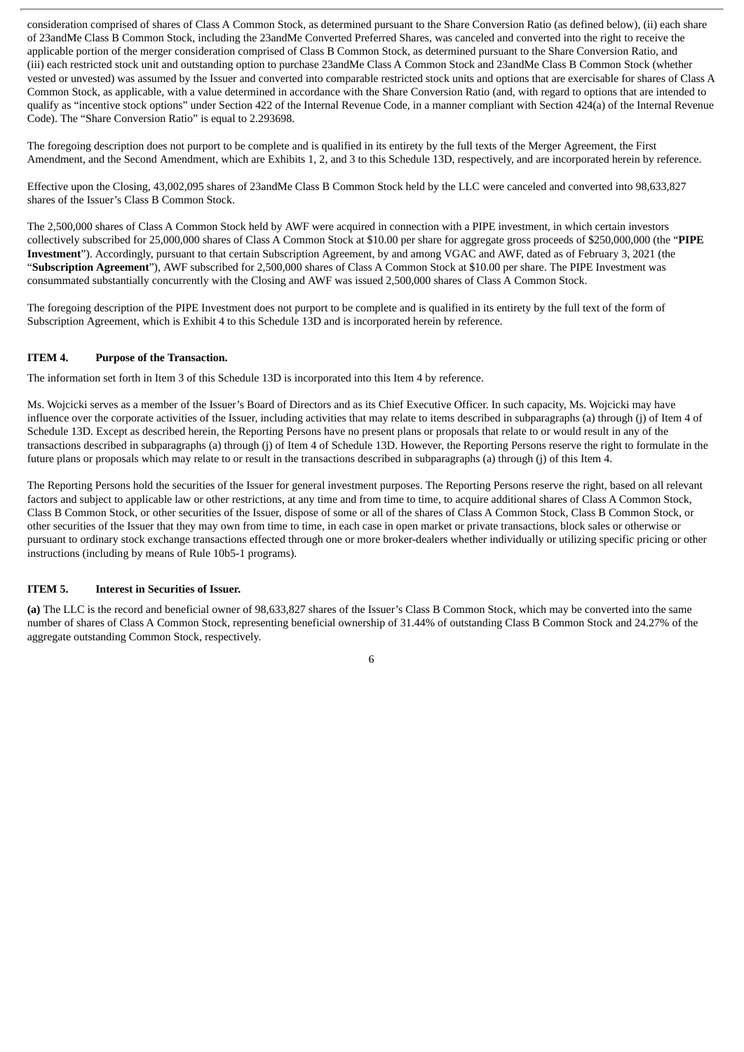consideration comprised of shares of Class A Common Stock, as determined pursuant to the Share Conversion Ratio (as defined below), (ii) each share of 23andMe Class B Common Stock, including the 23andMe Converted Preferred Shares, was canceled and converted into the right to receive the applicable portion of the merger consideration comprised of Class B Common Stock, as determined pursuant to the Share Conversion Ratio, and (iii) each restricted stock unit and outstanding option to purchase 23andMe Class A Common Stock and 23andMe Class B Common Stock (whether vested or unvested) was assumed by the Issuer and converted into comparable restricted stock units and options that are exercisable for shares of Class A Common Stock, as applicable, with a value determined in accordance with the Share Conversion Ratio (and, with regard to options that are intended to qualify as "incentive stock options" under Section 422 of the Internal Revenue Code, in a manner compliant with Section 424(a) of the Internal Revenue Code). The "Share Conversion Ratio" is equal to 2.293698.

The foregoing description does not purport to be complete and is qualified in its entirety by the full texts of the Merger Agreement, the First Amendment, and the Second Amendment, which are Exhibits 1, 2, and 3 to this Schedule 13D, respectively, and are incorporated herein by reference.

Effective upon the Closing, 43,002,095 shares of 23andMe Class B Common Stock held by the LLC were canceled and converted into 98,633,827 shares of the Issuer's Class B Common Stock.

The 2,500,000 shares of Class A Common Stock held by AWF were acquired in connection with a PIPE investment, in which certain investors collectively subscribed for 25,000,000 shares of Class A Common Stock at \$10.00 per share for aggregate gross proceeds of \$250,000,000 (the "**PIPE Investment**"). Accordingly, pursuant to that certain Subscription Agreement, by and among VGAC and AWF, dated as of February 3, 2021 (the "**Subscription Agreement**"), AWF subscribed for 2,500,000 shares of Class A Common Stock at \$10.00 per share. The PIPE Investment was consummated substantially concurrently with the Closing and AWF was issued 2,500,000 shares of Class A Common Stock.

The foregoing description of the PIPE Investment does not purport to be complete and is qualified in its entirety by the full text of the form of Subscription Agreement, which is Exhibit 4 to this Schedule 13D and is incorporated herein by reference.

#### **ITEM 4. Purpose of the Transaction.**

The information set forth in Item 3 of this Schedule 13D is incorporated into this Item 4 by reference.

Ms. Wojcicki serves as a member of the Issuer's Board of Directors and as its Chief Executive Officer. In such capacity, Ms. Wojcicki may have influence over the corporate activities of the Issuer, including activities that may relate to items described in subparagraphs (a) through (j) of Item 4 of Schedule 13D. Except as described herein, the Reporting Persons have no present plans or proposals that relate to or would result in any of the transactions described in subparagraphs (a) through (j) of Item 4 of Schedule 13D. However, the Reporting Persons reserve the right to formulate in the future plans or proposals which may relate to or result in the transactions described in subparagraphs (a) through (j) of this Item 4.

The Reporting Persons hold the securities of the Issuer for general investment purposes. The Reporting Persons reserve the right, based on all relevant factors and subject to applicable law or other restrictions, at any time and from time to time, to acquire additional shares of Class A Common Stock, Class B Common Stock, or other securities of the Issuer, dispose of some or all of the shares of Class A Common Stock, Class B Common Stock, or other securities of the Issuer that they may own from time to time, in each case in open market or private transactions, block sales or otherwise or pursuant to ordinary stock exchange transactions effected through one or more broker-dealers whether individually or utilizing specific pricing or other instructions (including by means of Rule 10b5-1 programs).

#### **ITEM 5. Interest in Securities of Issuer.**

**(a)** The LLC is the record and beneficial owner of 98,633,827 shares of the Issuer's Class B Common Stock, which may be converted into the same number of shares of Class A Common Stock, representing beneficial ownership of 31.44% of outstanding Class B Common Stock and 24.27% of the aggregate outstanding Common Stock, respectively.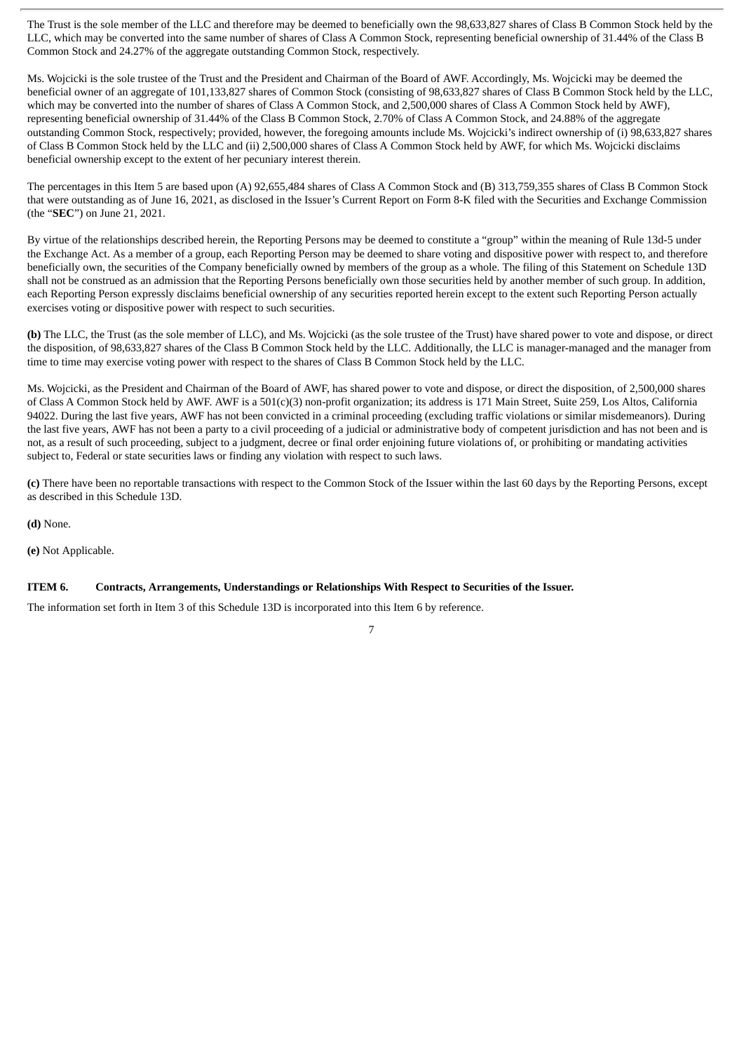The Trust is the sole member of the LLC and therefore may be deemed to beneficially own the 98,633,827 shares of Class B Common Stock held by the LLC, which may be converted into the same number of shares of Class A Common Stock, representing beneficial ownership of 31.44% of the Class B Common Stock and 24.27% of the aggregate outstanding Common Stock, respectively.

Ms. Wojcicki is the sole trustee of the Trust and the President and Chairman of the Board of AWF. Accordingly, Ms. Wojcicki may be deemed the beneficial owner of an aggregate of 101,133,827 shares of Common Stock (consisting of 98,633,827 shares of Class B Common Stock held by the LLC, which may be converted into the number of shares of Class A Common Stock, and 2,500,000 shares of Class A Common Stock held by AWF), representing beneficial ownership of 31.44% of the Class B Common Stock, 2.70% of Class A Common Stock, and 24.88% of the aggregate outstanding Common Stock, respectively; provided, however, the foregoing amounts include Ms. Wojcicki's indirect ownership of (i) 98,633,827 shares of Class B Common Stock held by the LLC and (ii) 2,500,000 shares of Class A Common Stock held by AWF, for which Ms. Wojcicki disclaims beneficial ownership except to the extent of her pecuniary interest therein.

The percentages in this Item 5 are based upon (A) 92,655,484 shares of Class A Common Stock and (B) 313,759,355 shares of Class B Common Stock that were outstanding as of June 16, 2021, as disclosed in the Issuer's Current Report on Form 8-K filed with the Securities and Exchange Commission (the "**SEC**") on June 21, 2021.

By virtue of the relationships described herein, the Reporting Persons may be deemed to constitute a "group" within the meaning of Rule 13d-5 under the Exchange Act. As a member of a group, each Reporting Person may be deemed to share voting and dispositive power with respect to, and therefore beneficially own, the securities of the Company beneficially owned by members of the group as a whole. The filing of this Statement on Schedule 13D shall not be construed as an admission that the Reporting Persons beneficially own those securities held by another member of such group. In addition, each Reporting Person expressly disclaims beneficial ownership of any securities reported herein except to the extent such Reporting Person actually exercises voting or dispositive power with respect to such securities.

**(b)** The LLC, the Trust (as the sole member of LLC), and Ms. Wojcicki (as the sole trustee of the Trust) have shared power to vote and dispose, or direct the disposition, of 98,633,827 shares of the Class B Common Stock held by the LLC. Additionally, the LLC is manager-managed and the manager from time to time may exercise voting power with respect to the shares of Class B Common Stock held by the LLC.

Ms. Wojcicki, as the President and Chairman of the Board of AWF, has shared power to vote and dispose, or direct the disposition, of 2,500,000 shares of Class A Common Stock held by AWF. AWF is a 501(c)(3) non-profit organization; its address is 171 Main Street, Suite 259, Los Altos, California 94022. During the last five years, AWF has not been convicted in a criminal proceeding (excluding traffic violations or similar misdemeanors). During the last five years, AWF has not been a party to a civil proceeding of a judicial or administrative body of competent jurisdiction and has not been and is not, as a result of such proceeding, subject to a judgment, decree or final order enjoining future violations of, or prohibiting or mandating activities subject to, Federal or state securities laws or finding any violation with respect to such laws.

**(c)** There have been no reportable transactions with respect to the Common Stock of the Issuer within the last 60 days by the Reporting Persons, except as described in this Schedule 13D.

**(d)** None.

**(e)** Not Applicable.

#### **ITEM 6. Contracts, Arrangements, Understandings or Relationships With Respect to Securities of the Issuer.**

The information set forth in Item 3 of this Schedule 13D is incorporated into this Item 6 by reference.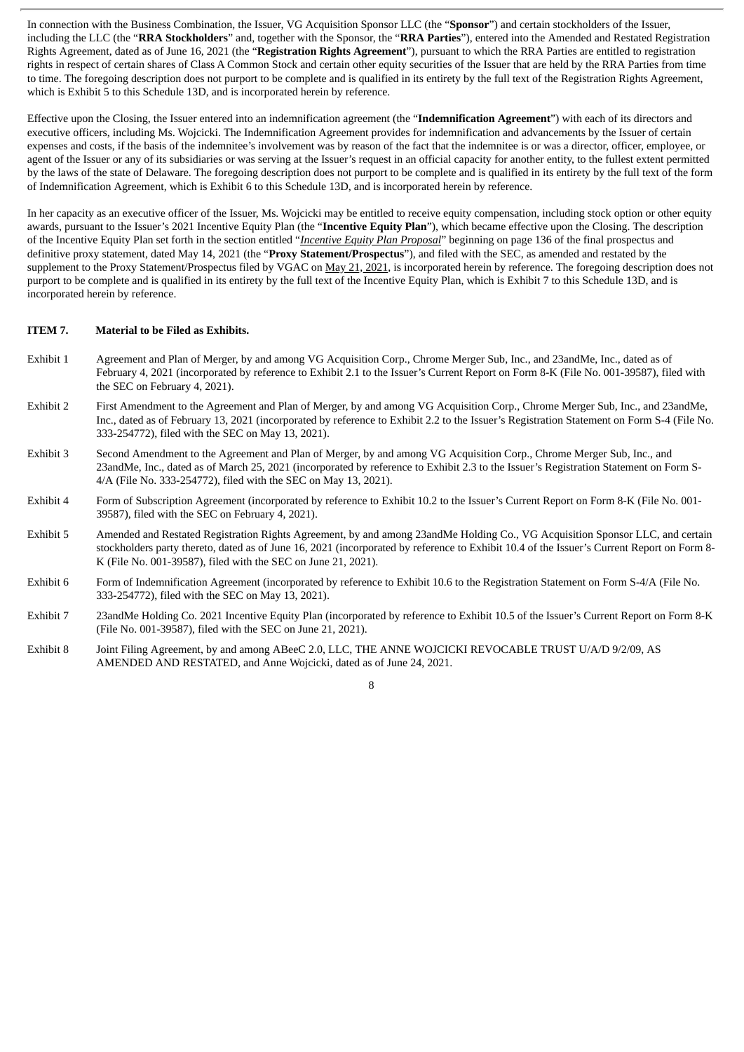In connection with the Business Combination, the Issuer, VG Acquisition Sponsor LLC (the "**Sponsor**") and certain stockholders of the Issuer, including the LLC (the "**RRA Stockholders**" and, together with the Sponsor, the "**RRA Parties**"), entered into the Amended and Restated Registration Rights Agreement, dated as of June 16, 2021 (the "**Registration Rights Agreement**"), pursuant to which the RRA Parties are entitled to registration rights in respect of certain shares of Class A Common Stock and certain other equity securities of the Issuer that are held by the RRA Parties from time to time. The foregoing description does not purport to be complete and is qualified in its entirety by the full text of the Registration Rights Agreement, which is Exhibit 5 to this Schedule 13D, and is incorporated herein by reference.

Effective upon the Closing, the Issuer entered into an indemnification agreement (the "**Indemnification Agreement**") with each of its directors and executive officers, including Ms. Wojcicki. The Indemnification Agreement provides for indemnification and advancements by the Issuer of certain expenses and costs, if the basis of the indemnitee's involvement was by reason of the fact that the indemnitee is or was a director, officer, employee, or agent of the Issuer or any of its subsidiaries or was serving at the Issuer's request in an official capacity for another entity, to the fullest extent permitted by the laws of the state of Delaware. The foregoing description does not purport to be complete and is qualified in its entirety by the full text of the form of Indemnification Agreement, which is Exhibit 6 to this Schedule 13D, and is incorporated herein by reference.

In her capacity as an executive officer of the Issuer, Ms. Wojcicki may be entitled to receive equity compensation, including stock option or other equity awards, pursuant to the Issuer's 2021 Incentive Equity Plan (the "**Incentive Equity Plan**"), which became effective upon the Closing. The description of the Incentive Equity Plan set forth in the section entitled "*Incentive Equity Plan Proposal*" beginning on page 136 of the final prospectus and definitive proxy statement, dated May 14, 2021 (the "**Proxy Statement/Prospectus**"), and filed with the SEC, as amended and restated by the supplement to the Proxy Statement/Prospectus filed by VGAC on May 21, 2021, is incorporated herein by reference. The foregoing description does not purport to be complete and is qualified in its entirety by the full text of the Incentive Equity Plan, which is Exhibit 7 to this Schedule 13D, and is incorporated herein by reference.

#### **ITEM 7. Material to be Filed as Exhibits.**

- Exhibit 1 Agreement and Plan of Merger, by and among VG Acquisition Corp., Chrome Merger Sub, Inc., and 23andMe, Inc., dated as of February 4, 2021 (incorporated by reference to Exhibit 2.1 to the Issuer's Current Report on Form 8-K (File No. 001-39587), filed with the SEC on February 4, 2021).
- Exhibit 2 First Amendment to the Agreement and Plan of Merger, by and among VG Acquisition Corp., Chrome Merger Sub, Inc., and 23andMe, Inc., dated as of February 13, 2021 (incorporated by reference to Exhibit 2.2 to the Issuer's Registration Statement on Form S-4 (File No. 333-254772), filed with the SEC on May 13, 2021).
- Exhibit 3 Second Amendment to the Agreement and Plan of Merger, by and among VG Acquisition Corp., Chrome Merger Sub, Inc., and 23andMe, Inc., dated as of March 25, 2021 (incorporated by reference to Exhibit 2.3 to the Issuer's Registration Statement on Form S-4/A (File No. 333-254772), filed with the SEC on May 13, 2021).
- Exhibit 4 Form of Subscription Agreement (incorporated by reference to Exhibit 10.2 to the Issuer's Current Report on Form 8-K (File No. 001- 39587), filed with the SEC on February 4, 2021).
- Exhibit 5 Amended and Restated Registration Rights Agreement, by and among 23andMe Holding Co., VG Acquisition Sponsor LLC, and certain stockholders party thereto, dated as of June 16, 2021 (incorporated by reference to Exhibit 10.4 of the Issuer's Current Report on Form 8- K (File No. 001-39587), filed with the SEC on June 21, 2021).
- Exhibit 6 Form of Indemnification Agreement (incorporated by reference to Exhibit 10.6 to the Registration Statement on Form S-4/A (File No. 333-254772), filed with the SEC on May 13, 2021).
- Exhibit 7 23andMe Holding Co. 2021 Incentive Equity Plan (incorporated by reference to Exhibit 10.5 of the Issuer's Current Report on Form 8-K (File No. 001-39587), filed with the SEC on June 21, 2021).
- Exhibit 8 Joint Filing Agreement, by and among ABeeC 2.0, LLC, THE ANNE WOJCICKI REVOCABLE TRUST U/A/D 9/2/09, AS AMENDED AND RESTATED, and Anne Wojcicki, dated as of June 24, 2021.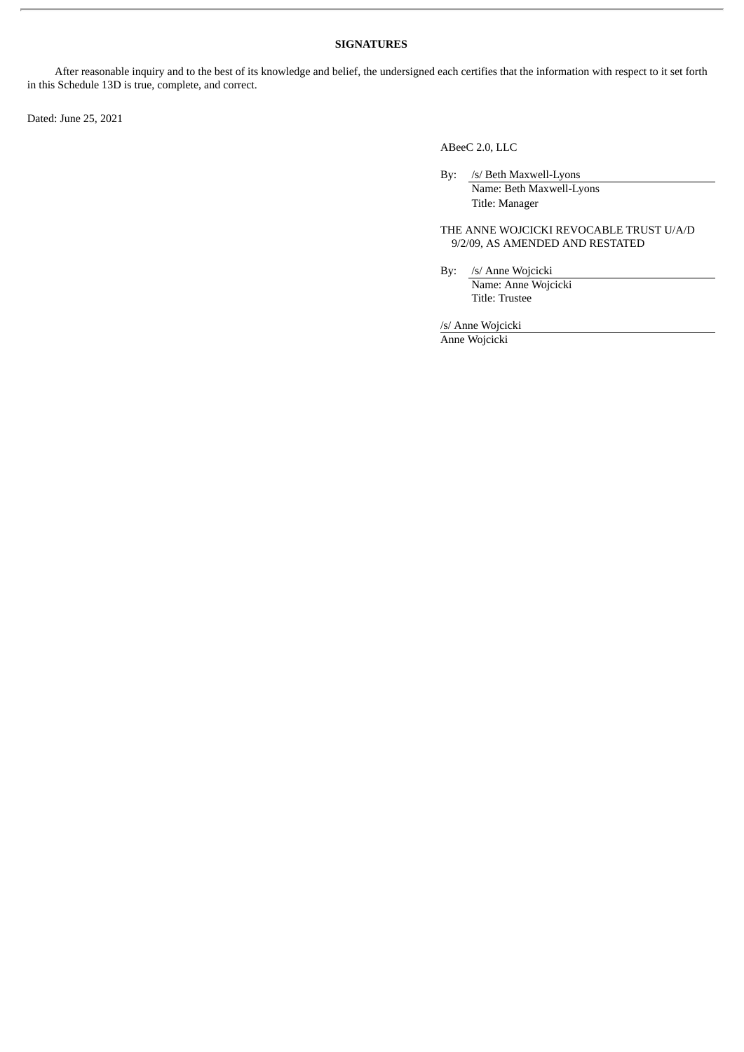#### **SIGNATURES**

After reasonable inquiry and to the best of its knowledge and belief, the undersigned each certifies that the information with respect to it set forth in this Schedule 13D is true, complete, and correct.

Dated: June 25, 2021

ABeeC 2.0, LLC

By: /s/ Beth Maxwell-Lyons Name: Beth Maxwell-Lyons Title: Manager

THE ANNE WOJCICKI REVOCABLE TRUST U/A/D 9/2/09, AS AMENDED AND RESTATED

By: /s/ Anne Wojcicki Name: Anne Wojcicki Title: Trustee

/s/ Anne Wojcicki

Anne Wojcicki